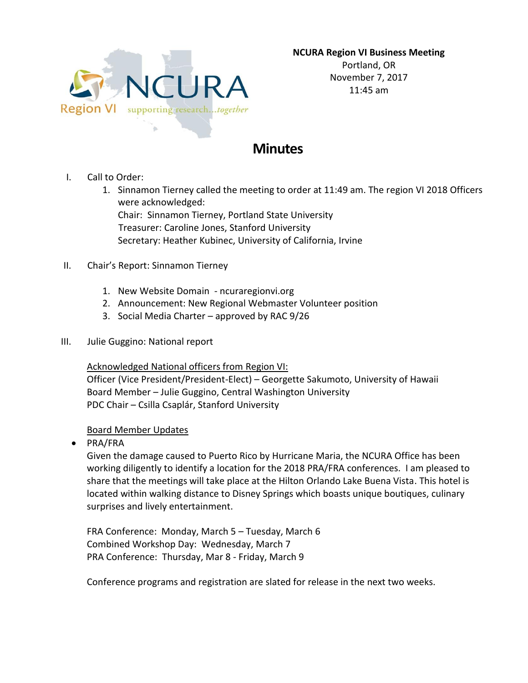

**NCURA Region VI Business Meeting** Portland, OR November 7, 2017 11:45 am

# **Minutes**

- I. Call to Order:
	- 1. Sinnamon Tierney called the meeting to order at 11:49 am. The region VI 2018 Officers were acknowledged: Chair: Sinnamon Tierney, Portland State University

Treasurer: Caroline Jones, Stanford University Secretary: Heather Kubinec, University of California, Irvine

- II. Chair's Report: Sinnamon Tierney
	- 1. New Website Domain ncuraregionvi.org
	- 2. Announcement: New Regional Webmaster Volunteer position
	- 3. Social Media Charter approved by RAC 9/26
- III. Julie Guggino: National report

Acknowledged National officers from Region VI:

Officer (Vice President/President-Elect) – Georgette Sakumoto, University of Hawaii Board Member – Julie Guggino, Central Washington University PDC Chair – Csilla Csaplár, Stanford University

### Board Member Updates

• PRA/FRA

Given the damage caused to Puerto Rico by Hurricane Maria, the NCURA Office has been working diligently to identify a location for the 2018 PRA/FRA conferences. I am pleased to share that the meetings will take place at the Hilton Orlando Lake Buena Vista. This hotel is located within walking distance to Disney Springs which boasts unique boutiques, culinary surprises and lively entertainment.

FRA Conference: Monday, March 5 – Tuesday, March 6 Combined Workshop Day: Wednesday, March 7 PRA Conference: Thursday, Mar 8 - Friday, March 9

Conference programs and registration are slated for release in the next two weeks.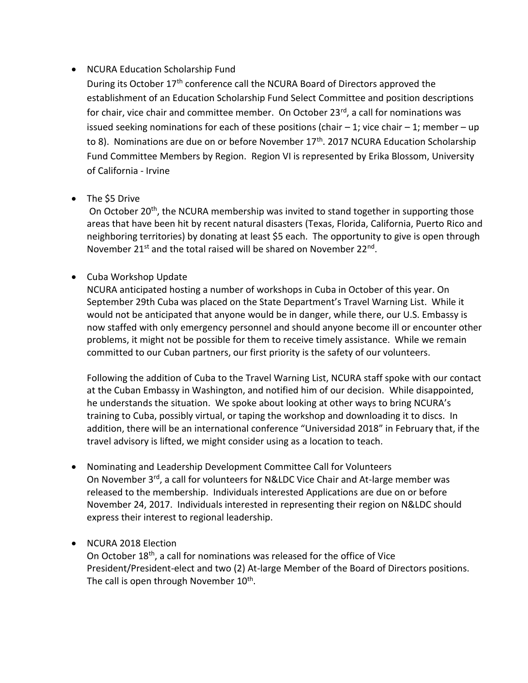# • NCURA Education Scholarship Fund

During its October 17th conference call the NCURA Board of Directors approved the establishment of an Education Scholarship Fund Select Committee and position descriptions for chair, vice chair and committee member. On October 23<sup>rd</sup>, a call for nominations was issued seeking nominations for each of these positions (chair  $-1$ ; vice chair  $-1$ ; member  $-\text{up}$ to 8). Nominations are due on or before November 17<sup>th</sup>. 2017 NCURA Education Scholarship Fund Committee Members by Region. Region VI is represented by Erika Blossom, University of California - Irvine

## • The \$5 Drive

On October 20<sup>th</sup>, the NCURA membership was invited to stand together in supporting those areas that have been hit by recent natural disasters (Texas, Florida, California, Puerto Rico and neighboring territories) by donating at least \$5 each. The opportunity to give is open through November 21<sup>st</sup> and the total raised will be shared on November 22<sup>nd</sup>.

Cuba Workshop Update

NCURA anticipated hosting a number of workshops in Cuba in October of this year. On September 29th Cuba was placed on the State Department's Travel Warning List. While it would not be anticipated that anyone would be in danger, while there, our U.S. Embassy is now staffed with only emergency personnel and should anyone become ill or encounter other problems, it might not be possible for them to receive timely assistance. While we remain committed to our Cuban partners, our first priority is the safety of our volunteers.

Following the addition of Cuba to the Travel Warning List, NCURA staff spoke with our contact at the Cuban Embassy in Washington, and notified him of our decision. While disappointed, he understands the situation. We spoke about looking at other ways to bring NCURA's training to Cuba, possibly virtual, or taping the workshop and downloading it to discs. In addition, there will be an international conference "Universidad 2018" in February that, if the travel advisory is lifted, we might consider using as a location to teach.

 Nominating and Leadership Development Committee Call for Volunteers On November 3<sup>rd</sup>, a call for volunteers for N&LDC Vice Chair and At-large member was released to the membership. Individuals interested Applications are due on or before November 24, 2017. Individuals interested in representing their region on N&LDC should express their interest to regional leadership.

### • NCURA 2018 Election

On October 18th, a call for nominations was released for the office of Vice President/President-elect and two (2) At-large Member of the Board of Directors positions. The call is open through November 10<sup>th</sup>.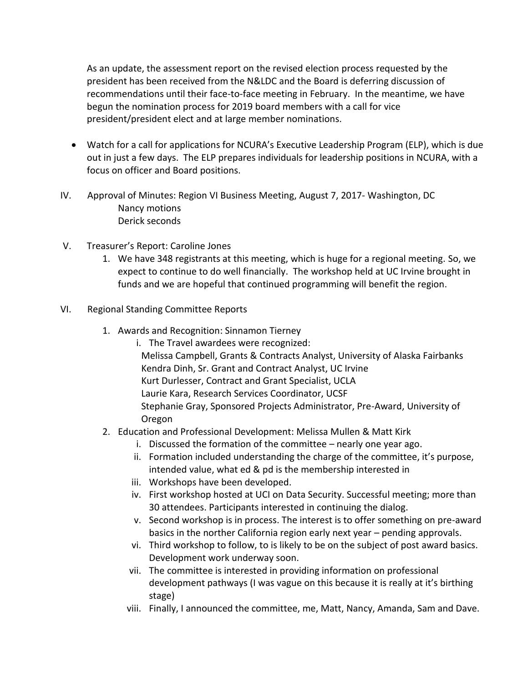As an update, the assessment report on the revised election process requested by the president has been received from the N&LDC and the Board is deferring discussion of recommendations until their face-to-face meeting in February. In the meantime, we have begun the nomination process for 2019 board members with a call for vice president/president elect and at large member nominations.

- Watch for a call for applications for NCURA's Executive Leadership Program (ELP), which is due out in just a few days. The ELP prepares individuals for leadership positions in NCURA, with a focus on officer and Board positions.
- IV. Approval of Minutes: Region VI Business Meeting, August 7, 2017- Washington, DC Nancy motions Derick seconds
- V. Treasurer's Report: Caroline Jones
	- 1. We have 348 registrants at this meeting, which is huge for a regional meeting. So, we expect to continue to do well financially. The workshop held at UC Irvine brought in funds and we are hopeful that continued programming will benefit the region.
- VI. Regional Standing Committee Reports
	- 1. Awards and Recognition: Sinnamon Tierney
		- i. The Travel awardees were recognized: Melissa Campbell, Grants & Contracts Analyst, University of Alaska Fairbanks Kendra Dinh, Sr. Grant and Contract Analyst, UC Irvine Kurt Durlesser, Contract and Grant Specialist, UCLA Laurie Kara, Research Services Coordinator, UCSF Stephanie Gray, Sponsored Projects Administrator, Pre-Award, University of Oregon
	- 2. Education and Professional Development: Melissa Mullen & Matt Kirk
		- i. Discussed the formation of the committee nearly one year ago.
		- ii. Formation included understanding the charge of the committee, it's purpose, intended value, what ed & pd is the membership interested in
		- iii. Workshops have been developed.
		- iv. First workshop hosted at UCI on Data Security. Successful meeting; more than 30 attendees. Participants interested in continuing the dialog.
		- v. Second workshop is in process. The interest is to offer something on pre-award basics in the norther California region early next year – pending approvals.
		- vi. Third workshop to follow, to is likely to be on the subject of post award basics. Development work underway soon.
		- vii. The committee is interested in providing information on professional development pathways (I was vague on this because it is really at it's birthing stage)
		- viii. Finally, I announced the committee, me, Matt, Nancy, Amanda, Sam and Dave.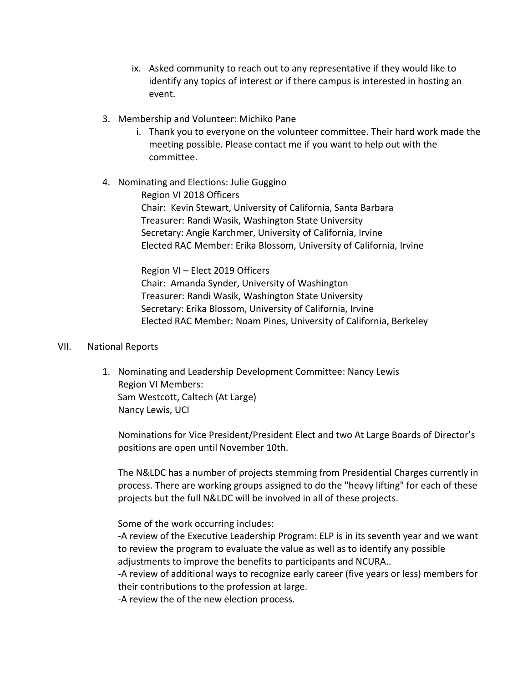- ix. Asked community to reach out to any representative if they would like to identify any topics of interest or if there campus is interested in hosting an event.
- 3. Membership and Volunteer: Michiko Pane
	- i. Thank you to everyone on the volunteer committee. Their hard work made the meeting possible. Please contact me if you want to help out with the committee.
- 4. Nominating and Elections: Julie Guggino

Region VI 2018 Officers Chair: Kevin Stewart, University of California, Santa Barbara Treasurer: Randi Wasik, Washington State University Secretary: Angie Karchmer, University of California, Irvine Elected RAC Member: Erika Blossom, University of California, Irvine

Region VI – Elect 2019 Officers Chair: Amanda Synder, University of Washington Treasurer: Randi Wasik, Washington State University Secretary: Erika Blossom, University of California, Irvine Elected RAC Member: Noam Pines, University of California, Berkeley

#### VII. National Reports

1. Nominating and Leadership Development Committee: Nancy Lewis Region VI Members: Sam Westcott, Caltech (At Large) Nancy Lewis, UCI

Nominations for Vice President/President Elect and two At Large Boards of Director's positions are open until November 10th.

The N&LDC has a number of projects stemming from Presidential Charges currently in process. There are working groups assigned to do the "heavy lifting" for each of these projects but the full N&LDC will be involved in all of these projects.

Some of the work occurring includes:

-A review of the Executive Leadership Program: ELP is in its seventh year and we want to review the program to evaluate the value as well as to identify any possible adjustments to improve the benefits to participants and NCURA..

-A review of additional ways to recognize early career (five years or less) members for their contributions to the profession at large.

-A review the of the new election process.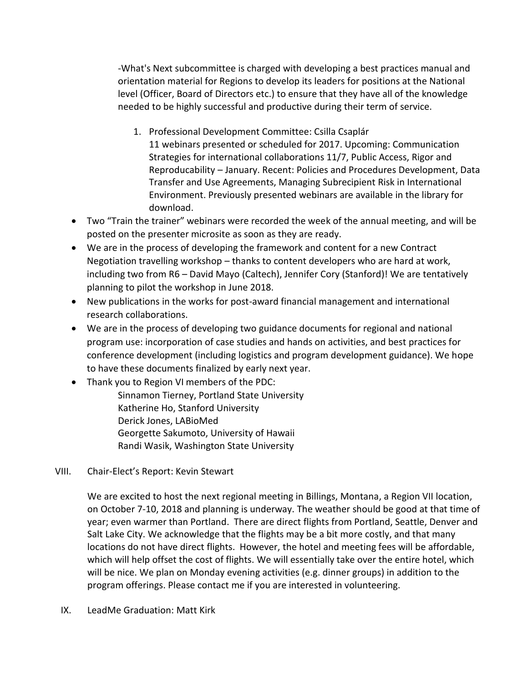-What's Next subcommittee is charged with developing a best practices manual and orientation material for Regions to develop its leaders for positions at the National level (Officer, Board of Directors etc.) to ensure that they have all of the knowledge needed to be highly successful and productive during their term of service.

- 1. Professional Development Committee: Csilla Csaplár 11 webinars presented or scheduled for 2017. Upcoming: Communication Strategies for international collaborations 11/7, Public Access, Rigor and Reproducability – January. Recent: Policies and Procedures Development, Data Transfer and Use Agreements, Managing Subrecipient Risk in International Environment. Previously presented webinars are available in the library for download.
- Two "Train the trainer" webinars were recorded the week of the annual meeting, and will be posted on the presenter microsite as soon as they are ready.
- We are in the process of developing the framework and content for a new Contract Negotiation travelling workshop – thanks to content developers who are hard at work, including two from R6 – David Mayo (Caltech), Jennifer Cory (Stanford)! We are tentatively planning to pilot the workshop in June 2018.
- New publications in the works for post-award financial management and international research collaborations.
- We are in the process of developing two guidance documents for regional and national program use: incorporation of case studies and hands on activities, and best practices for conference development (including logistics and program development guidance). We hope to have these documents finalized by early next year.
- Thank you to Region VI members of the PDC:
	- Sinnamon Tierney, Portland State University Katherine Ho, Stanford University Derick Jones, LABioMed Georgette Sakumoto, University of Hawaii Randi Wasik, Washington State University
- VIII. Chair-Elect's Report: Kevin Stewart

We are excited to host the next regional meeting in Billings, Montana, a Region VII location, on October 7-10, 2018 and planning is underway. The weather should be good at that time of year; even warmer than Portland. There are direct flights from Portland, Seattle, Denver and Salt Lake City. We acknowledge that the flights may be a bit more costly, and that many locations do not have direct flights. However, the hotel and meeting fees will be affordable, which will help offset the cost of flights. We will essentially take over the entire hotel, which will be nice. We plan on Monday evening activities (e.g. dinner groups) in addition to the program offerings. Please contact me if you are interested in volunteering.

IX. LeadMe Graduation: Matt Kirk